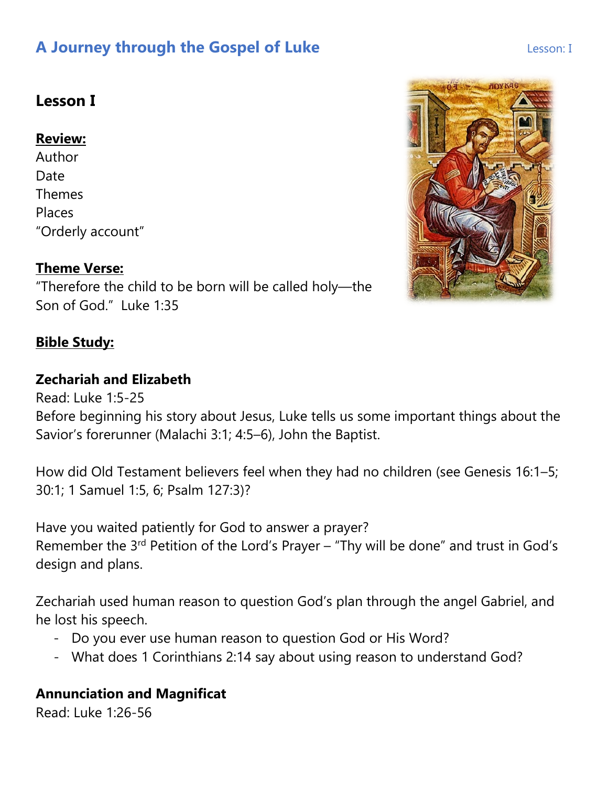# **Lesson I**

### **Review:**

Author Date Themes Places "Orderly account"

## **Theme Verse:**

"Therefore the child to be born will be called holy—the Son of God." Luke 1:35

### **Bible Study:**

### **Zechariah and Elizabeth**

Read: Luke 1:5-25

Before beginning his story about Jesus, Luke tells us some important things about the Savior's forerunner (Malachi 3:1; 4:5–6), John the Baptist.

How did Old Testament believers feel when they had no children (see Genesis 16:1–5; 30:1; 1 Samuel 1:5, 6; Psalm 127:3)?

Have you waited patiently for God to answer a prayer? Remember the 3<sup>rd</sup> Petition of the Lord's Prayer – "Thy will be done" and trust in God's design and plans.

Zechariah used human reason to question God's plan through the angel Gabriel, and he lost his speech.

- Do you ever use human reason to question God or His Word?
- What does 1 Corinthians 2:14 say about using reason to understand God?

### **Annunciation and Magnificat**

Read: Luke 1:26-56

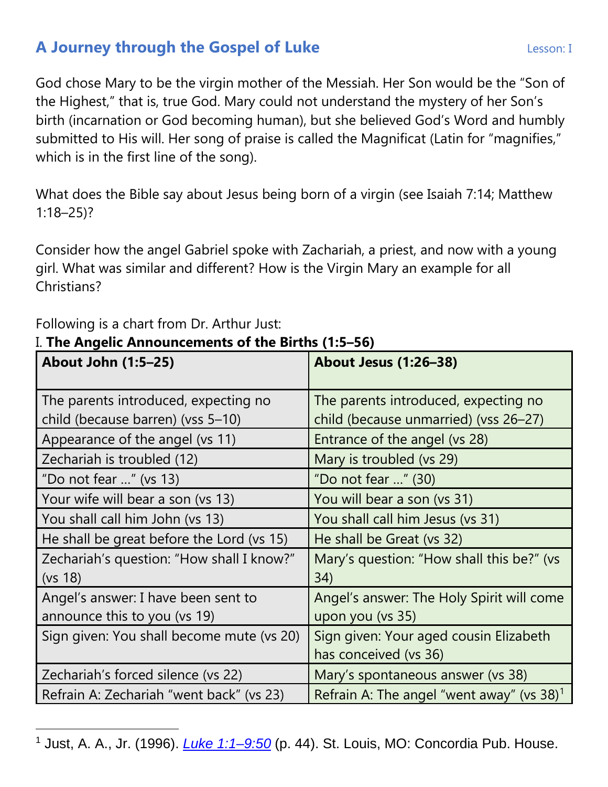God chose Mary to be the virgin mother of the Messiah. Her Son would be the "Son of the Highest," that is, true God. Mary could not understand the mystery of her Son's birth (incarnation or God becoming human), but she believed God's Word and humbly submitted to His will. Her song of praise is called the Magnificat (Latin for "magnifies," which is in the first line of the song).

What does the Bible say about Jesus being born of a virgin (see Isaiah 7:14; Matthew 1:18–25)?

Consider how the angel Gabriel spoke with Zachariah, a priest, and now with a young girl. What was similar and different? How is the Virgin Mary an example for all Christians?

| ". The Angelic Announcements of the births (1.5-50)<br><b>About John (1:5-25)</b> | <b>About Jesus (1:26-38)</b>                                    |
|-----------------------------------------------------------------------------------|-----------------------------------------------------------------|
| The parents introduced, expecting no                                              | The parents introduced, expecting no                            |
| child (because barren) (vss 5-10)                                                 | child (because unmarried) (vss 26-27)                           |
| Appearance of the angel (vs 11)                                                   | Entrance of the angel (vs 28)                                   |
| Zechariah is troubled (12)                                                        | Mary is troubled (vs 29)                                        |
| "Do not fear " (vs $13$ )                                                         | "Do not fear " (30)                                             |
| Your wife will bear a son (vs 13)                                                 | You will bear a son (vs 31)                                     |
| You shall call him John (vs 13)                                                   | You shall call him Jesus (vs 31)                                |
| He shall be great before the Lord (vs 15)                                         | He shall be Great (vs 32)                                       |
| Zechariah's question: "How shall I know?"<br>(vs 18)                              | Mary's question: "How shall this be?" (vs<br>34)                |
| Angel's answer: I have been sent to<br>announce this to you (vs 19)               | Angel's answer: The Holy Spirit will come<br>upon you (vs 35)   |
| Sign given: You shall become mute (vs 20)                                         | Sign given: Your aged cousin Elizabeth<br>has conceived (vs 36) |
| Zechariah's forced silence (vs 22)                                                | Mary's spontaneous answer (vs 38)                               |
| Refrain A: Zechariah "went back" (vs 23)                                          | Refrain A: The angel "went away" (vs $38$ ) <sup>1</sup>        |

Following is a chart from Dr. Arthur Just:

### I. **The Angelic Announcements of the Births (1:5–56)**

<span id="page-1-0"></span><sup>1</sup> Just, A. A., Jr. (1996). *[Luke 1:1–9:50](https://ref.ly/logosres/cphcluke?ref=Page.p+44&off=45&ctx=n+Infancy+Narrative%0a%7EI.+The+Angelic+Annou)* (p. 44). St. Louis, MO: Concordia Pub. House.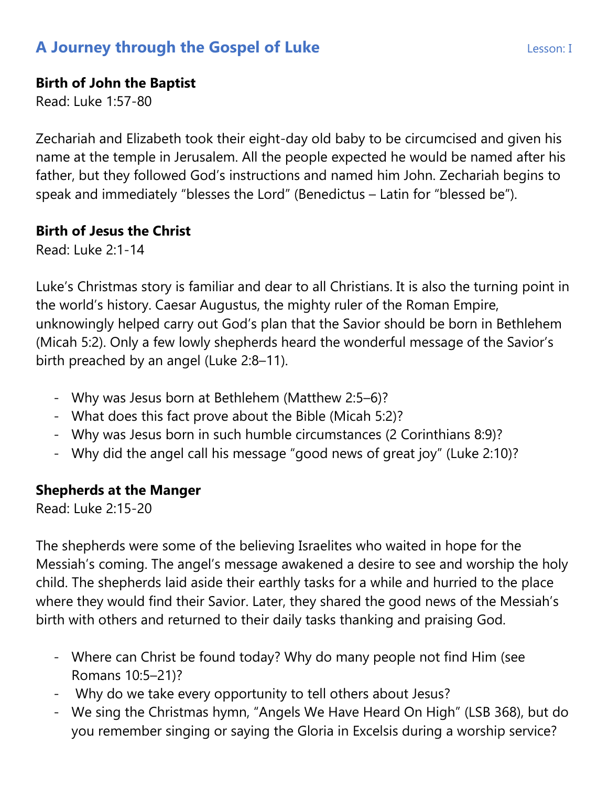### **Birth of John the Baptist**

Read: Luke 1:57-80

Zechariah and Elizabeth took their eight-day old baby to be circumcised and given his name at the temple in Jerusalem. All the people expected he would be named after his father, but they followed God's instructions and named him John. Zechariah begins to speak and immediately "blesses the Lord" (Benedictus – Latin for "blessed be").

### **Birth of Jesus the Christ**

Read: Luke 2:1-14

Luke's Christmas story is familiar and dear to all Christians. It is also the turning point in the world's history. Caesar Augustus, the mighty ruler of the Roman Empire, unknowingly helped carry out God's plan that the Savior should be born in Bethlehem (Micah 5:2). Only a few lowly shepherds heard the wonderful message of the Savior's birth preached by an angel (Luke 2:8–11).

- Why was Jesus born at Bethlehem (Matthew 2:5–6)?
- What does this fact prove about the Bible (Micah 5:2)?
- Why was Jesus born in such humble circumstances (2 Corinthians 8:9)?
- Why did the angel call his message "good news of great joy" (Luke 2:10)?

### **Shepherds at the Manger**

Read: Luke 2:15-20

The shepherds were some of the believing Israelites who waited in hope for the Messiah's coming. The angel's message awakened a desire to see and worship the holy child. The shepherds laid aside their earthly tasks for a while and hurried to the place where they would find their Savior. Later, they shared the good news of the Messiah's birth with others and returned to their daily tasks thanking and praising God.

- Where can Christ be found today? Why do many people not find Him (see Romans 10:5–21)?
- Why do we take every opportunity to tell others about Jesus?
- We sing the Christmas hymn, "Angels We Have Heard On High" (LSB 368), but do you remember singing or saying the Gloria in Excelsis during a worship service?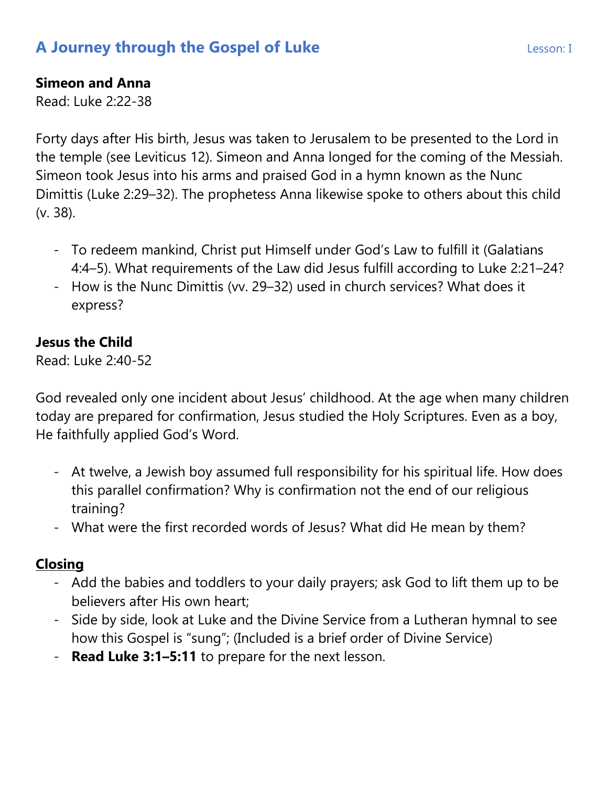### **Simeon and Anna**

Read: Luke 2:22-38

Forty days after His birth, Jesus was taken to Jerusalem to be presented to the Lord in the temple (see Leviticus 12). Simeon and Anna longed for the coming of the Messiah. Simeon took Jesus into his arms and praised God in a hymn known as the Nunc Dimittis (Luke 2:29–32). The prophetess Anna likewise spoke to others about this child (v. 38).

- To redeem mankind, Christ put Himself under God's Law to fulfill it (Galatians 4:4–5). What requirements of the Law did Jesus fulfill according to Luke 2:21–24?
- How is the Nunc Dimittis (vv. 29–32) used in church services? What does it express?

## **Jesus the Child**

Read: Luke 2:40-52

God revealed only one incident about Jesus' childhood. At the age when many children today are prepared for confirmation, Jesus studied the Holy Scriptures. Even as a boy, He faithfully applied God's Word.

- At twelve, a Jewish boy assumed full responsibility for his spiritual life. How does this parallel confirmation? Why is confirmation not the end of our religious training?
- What were the first recorded words of Jesus? What did He mean by them?

### **Closing**

- Add the babies and toddlers to your daily prayers; ask God to lift them up to be believers after His own heart;
- Side by side, look at Luke and the Divine Service from a Lutheran hymnal to see how this Gospel is "sung"; (Included is a brief order of Divine Service)
- **Read Luke 3:1–5:11** to prepare for the next lesson.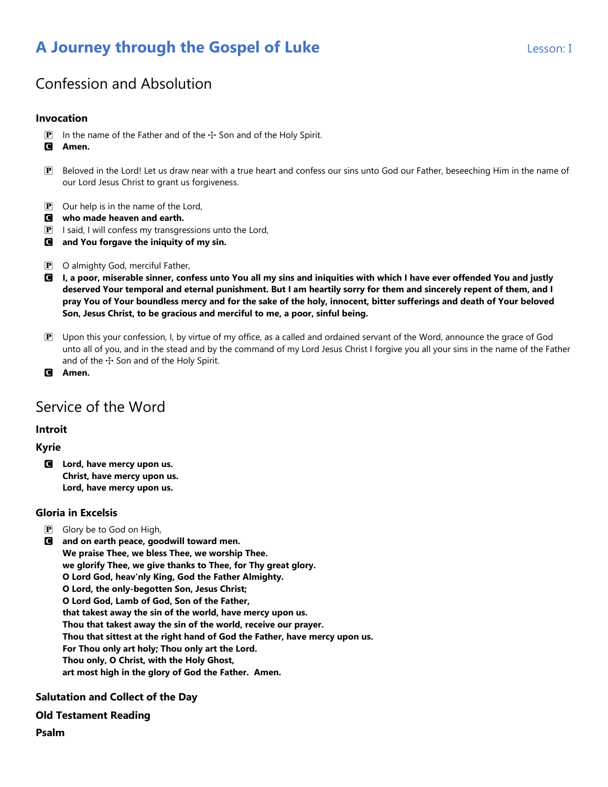# Confession and Absolution

#### **Invocation**

- **P** In the name of the Father and of the  $\pm$  Son and of the Holy Spirit.
- C **Amen.**
- P Beloved in the Lord! Let us draw near with a true heart and confess our sins unto God our Father, beseeching Him in the name of our Lord Jesus Christ to grant us forgiveness.
- $\mathbf{P}$  Our help is in the name of the Lord,
- C **who made heaven and earth.**
- $\mathbf{P}$  I said, I will confess my transgressions unto the Lord,
- C **and You forgave the iniquity of my sin.**
- P O almighty God, merciful Father,
- C **I, a poor, miserable sinner, confess unto You all my sins and iniquities with which I have ever offended You and justly deserved Your temporal and eternal punishment. But I am heartily sorry for them and sincerely repent of them, and I pray You of Your boundless mercy and for the sake of the holy, innocent, bitter sufferings and death of Your beloved Son, Jesus Christ, to be gracious and merciful to me, a poor, sinful being.**
- P Upon this your confession, I, by virtue of my office, as a called and ordained servant of the Word, announce the grace of God unto all of you, and in the stead and by the command of my Lord Jesus Christ I forgive you all your sins in the name of the Father and of the  $+$  Son and of the Holy Spirit.
- C **Amen.**

### Service of the Word

#### **Introit**

#### **Kyrie**

C **Lord, have mercy upon us. Christ, have mercy upon us. Lord, have mercy upon us.**

#### **Gloria in Excelsis**

- **P** Glory be to God on High,
- C **and on earth peace, goodwill toward men. We praise Thee, we bless Thee, we worship Thee. we glorify Thee, we give thanks to Thee, for Thy great glory. O Lord God, heav'nly King, God the Father Almighty. O Lord, the only-begotten Son, Jesus Christ; O Lord God, Lamb of God, Son of the Father, that takest away the sin of the world, have mercy upon us. Thou that takest away the sin of the world, receive our prayer. Thou that sittest at the right hand of God the Father, have mercy upon us. For Thou only art holy; Thou only art the Lord. Thou only, O Christ, with the Holy Ghost, art most high in the glory of God the Father. Amen.**

#### **Salutation and Collect of the Day**

#### **Old Testament Reading**

**Psalm**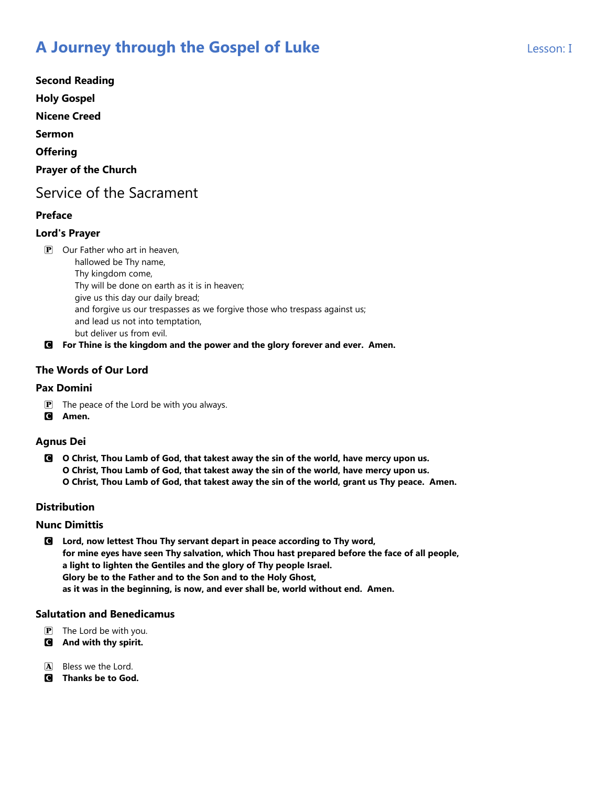**Second Reading Holy Gospel Nicene Creed Sermon Offering Prayer of the Church**

## Service of the Sacrament

### **Preface**

#### **Lord's Prayer**

**P** Our Father who art in heaven, hallowed be Thy name, Thy kingdom come, Thy will be done on earth as it is in heaven; give us this day our daily bread; and forgive us our trespasses as we forgive those who trespass against us; and lead us not into temptation, but deliver us from evil.

C **For Thine is the kingdom and the power and the glory forever and ever. Amen.**

### **The Words of Our Lord**

#### **Pax Domini**

- $\mathbf{P}$  The peace of the Lord be with you always.
- C **Amen.**

#### **Agnus Dei**

C **O Christ, Thou Lamb of God, that takest away the sin of the world, have mercy upon us. O Christ, Thou Lamb of God, that takest away the sin of the world, have mercy upon us. O Christ, Thou Lamb of God, that takest away the sin of the world, grant us Thy peace. Amen.**

#### **Distribution**

#### **Nunc Dimittis**

C **Lord, now lettest Thou Thy servant depart in peace according to Thy word, for mine eyes have seen Thy salvation, which Thou hast prepared before the face of all people, a light to lighten the Gentiles and the glory of Thy people Israel. Glory be to the Father and to the Son and to the Holy Ghost, as it was in the beginning, is now, and ever shall be, world without end. Amen.**

#### **Salutation and Benedicamus**

- $\mathbf{P}$  The Lord be with you.
- C **And with thy spirit.**
- A Bless we the Lord.
- C **Thanks be to God.**